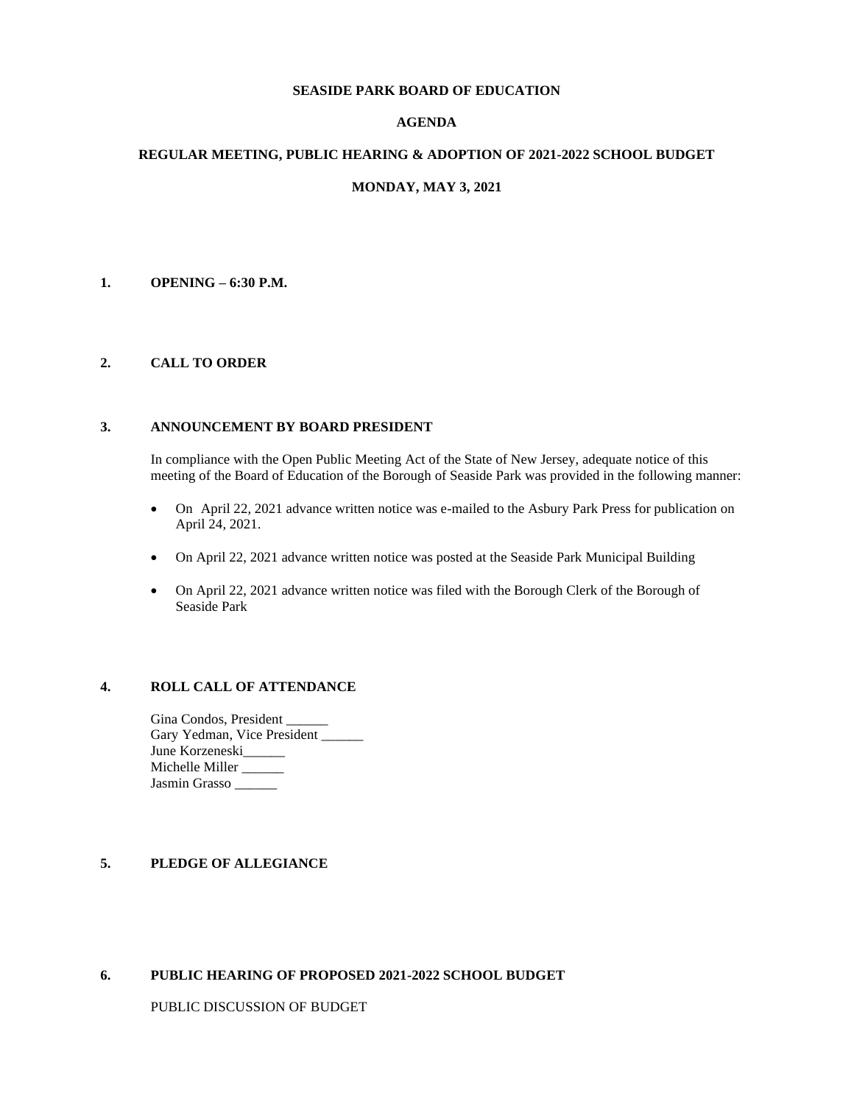#### **SEASIDE PARK BOARD OF EDUCATION**

# **AGENDA**

### **REGULAR MEETING, PUBLIC HEARING & ADOPTION OF 2021-2022 SCHOOL BUDGET**

### **MONDAY, MAY 3, 2021**

### **1. OPENING – 6:30 P.M.**

### **2. CALL TO ORDER**

#### **3. ANNOUNCEMENT BY BOARD PRESIDENT**

In compliance with the Open Public Meeting Act of the State of New Jersey, adequate notice of this meeting of the Board of Education of the Borough of Seaside Park was provided in the following manner:

- On April 22, 2021 advance written notice was e-mailed to the Asbury Park Press for publication on April 24, 2021.
- On April 22, 2021 advance written notice was posted at the Seaside Park Municipal Building
- On April 22, 2021 advance written notice was filed with the Borough Clerk of the Borough of Seaside Park

### **4. ROLL CALL OF ATTENDANCE**

Gina Condos, President \_\_\_\_\_\_ Gary Yedman, Vice President \_\_\_\_\_\_ June Korzeneski Michelle Miller \_\_\_\_\_ Jasmin Grasso \_\_\_\_\_\_

# **5. PLEDGE OF ALLEGIANCE**

#### **6. PUBLIC HEARING OF PROPOSED 2021-2022 SCHOOL BUDGET**

PUBLIC DISCUSSION OF BUDGET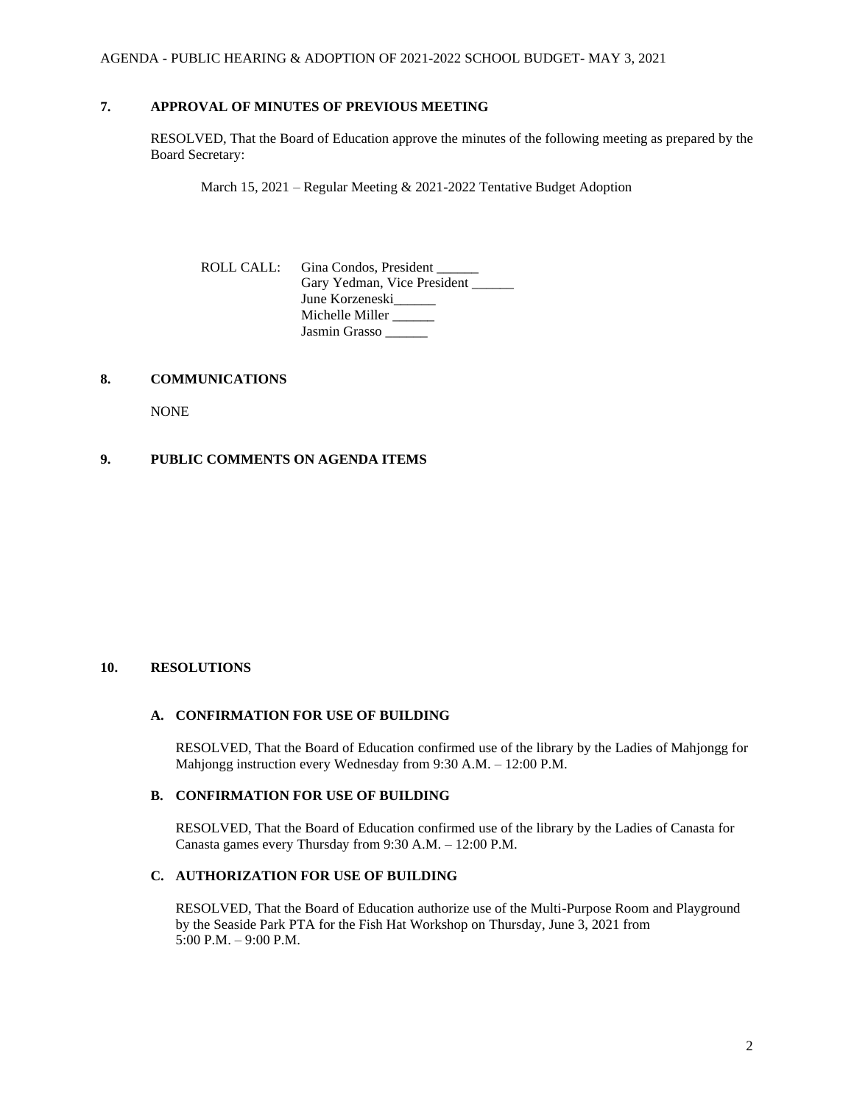# **7. APPROVAL OF MINUTES OF PREVIOUS MEETING**

RESOLVED, That the Board of Education approve the minutes of the following meeting as prepared by the Board Secretary:

March 15, 2021 – Regular Meeting & 2021-2022 Tentative Budget Adoption

| ROLL CALL: Gina Condos, President |
|-----------------------------------|
| Gary Yedman, Vice President       |
| June Korzeneski                   |
| Michelle Miller                   |
| Jasmin Grasso                     |

### **8. COMMUNICATIONS**

NONE

# **9. PUBLIC COMMENTS ON AGENDA ITEMS**

# **10. RESOLUTIONS**

# **A. CONFIRMATION FOR USE OF BUILDING**

RESOLVED, That the Board of Education confirmed use of the library by the Ladies of Mahjongg for Mahjongg instruction every Wednesday from 9:30 A.M. – 12:00 P.M.

#### **B. CONFIRMATION FOR USE OF BUILDING**

RESOLVED, That the Board of Education confirmed use of the library by the Ladies of Canasta for Canasta games every Thursday from 9:30 A.M. – 12:00 P.M.

# **C. AUTHORIZATION FOR USE OF BUILDING**

RESOLVED, That the Board of Education authorize use of the Multi-Purpose Room and Playground by the Seaside Park PTA for the Fish Hat Workshop on Thursday, June 3, 2021 from 5:00 P.M. – 9:00 P.M.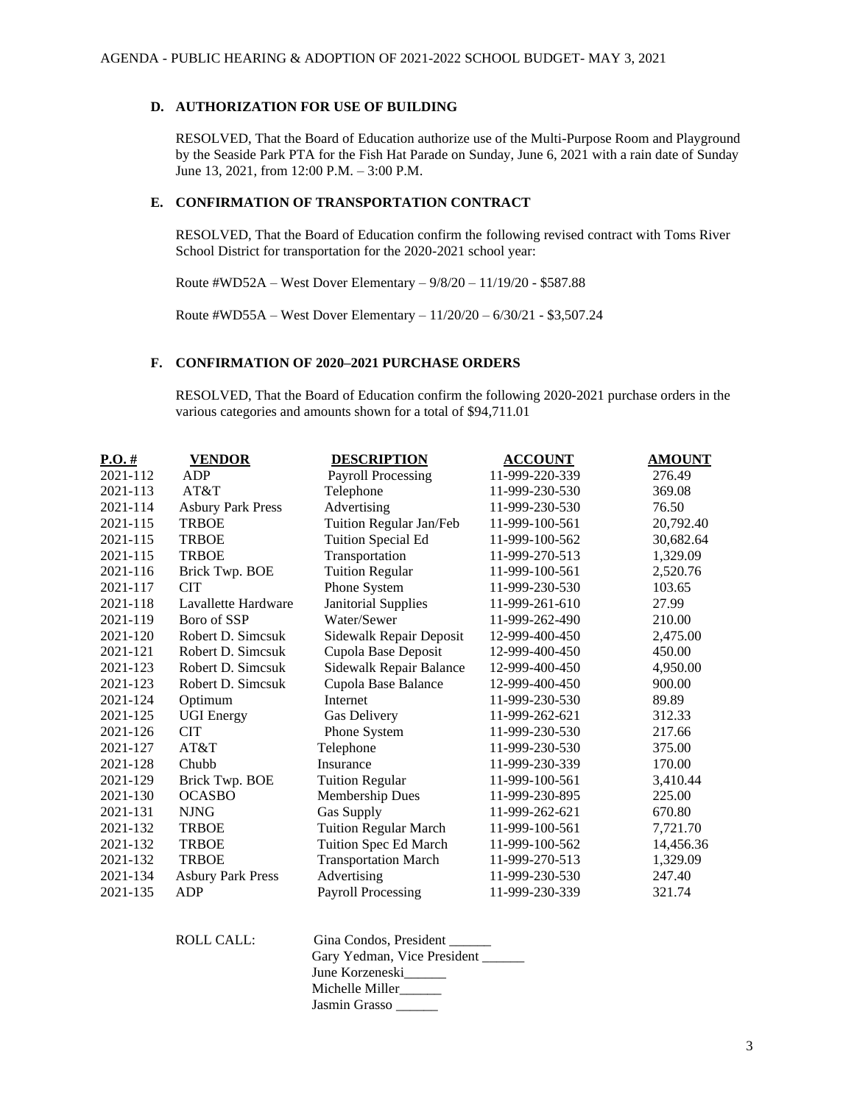#### **D. AUTHORIZATION FOR USE OF BUILDING**

RESOLVED, That the Board of Education authorize use of the Multi-Purpose Room and Playground by the Seaside Park PTA for the Fish Hat Parade on Sunday, June 6, 2021 with a rain date of Sunday June 13, 2021, from 12:00 P.M. – 3:00 P.M.

#### **E. CONFIRMATION OF TRANSPORTATION CONTRACT**

RESOLVED, That the Board of Education confirm the following revised contract with Toms River School District for transportation for the 2020-2021 school year:

Route #WD52A – West Dover Elementary – 9/8/20 – 11/19/20 - \$587.88

Route #WD55A – West Dover Elementary – 11/20/20 – 6/30/21 - \$3,507.24

# **F. CONFIRMATION OF 2020–2021 PURCHASE ORDERS**

RESOLVED, That the Board of Education confirm the following 2020-2021 purchase orders in the various categories and amounts shown for a total of \$94,711.01

| $P.O.$ #     | <b>VENDOR</b>            | <b>DESCRIPTION</b>           | <b>ACCOUNT</b> | <b>AMOUNT</b> |
|--------------|--------------------------|------------------------------|----------------|---------------|
| 2021-112     | ADP                      | <b>Payroll Processing</b>    | 11-999-220-339 | 276.49        |
| 2021-113     | AT&T                     | Telephone                    | 11-999-230-530 | 369.08        |
| 2021-114     | <b>Asbury Park Press</b> | Advertising                  | 11-999-230-530 | 76.50         |
| 2021-115     | <b>TRBOE</b>             | Tuition Regular Jan/Feb      | 11-999-100-561 | 20,792.40     |
| 2021-115     | <b>TRBOE</b>             | Tuition Special Ed           | 11-999-100-562 | 30,682.64     |
| 2021-115     | <b>TRBOE</b>             | Transportation               | 11-999-270-513 | 1,329.09      |
| 2021-116     | Brick Twp. BOE           | <b>Tuition Regular</b>       | 11-999-100-561 | 2,520.76      |
| 2021-117     | <b>CIT</b>               | Phone System                 | 11-999-230-530 | 103.65        |
| 2021-118     | Lavallette Hardware      | Janitorial Supplies          | 11-999-261-610 | 27.99         |
| 2021-119     | Boro of SSP              | Water/Sewer                  | 11-999-262-490 | 210.00        |
| $2021 - 120$ | Robert D. Simcsuk        | Sidewalk Repair Deposit      | 12-999-400-450 | 2,475.00      |
| 2021-121     | Robert D. Simcsuk        | Cupola Base Deposit          | 12-999-400-450 | 450.00        |
| 2021-123     | Robert D. Simcsuk        | Sidewalk Repair Balance      | 12-999-400-450 | 4,950.00      |
| 2021-123     | Robert D. Simcsuk        | Cupola Base Balance          | 12-999-400-450 | 900.00        |
| 2021-124     | Optimum                  | Internet                     | 11-999-230-530 | 89.89         |
| 2021-125     | <b>UGI Energy</b>        | Gas Delivery                 | 11-999-262-621 | 312.33        |
| 2021-126     | <b>CIT</b>               | Phone System                 | 11-999-230-530 | 217.66        |
| 2021-127     | AT&T                     | Telephone                    | 11-999-230-530 | 375.00        |
| 2021-128     | Chubb                    | Insurance                    | 11-999-230-339 | 170.00        |
| 2021-129     | Brick Twp. BOE           | <b>Tuition Regular</b>       | 11-999-100-561 | 3,410.44      |
| 2021-130     | <b>OCASBO</b>            | Membership Dues              | 11-999-230-895 | 225.00        |
| 2021-131     | <b>NJNG</b>              | Gas Supply                   | 11-999-262-621 | 670.80        |
| 2021-132     | <b>TRBOE</b>             | <b>Tuition Regular March</b> | 11-999-100-561 | 7,721.70      |
| 2021-132     | <b>TRBOE</b>             | Tuition Spec Ed March        | 11-999-100-562 | 14,456.36     |
| 2021-132     | <b>TRBOE</b>             | <b>Transportation March</b>  | 11-999-270-513 | 1,329.09      |
| 2021-134     | <b>Asbury Park Press</b> | Advertising                  | 11-999-230-530 | 247.40        |
| 2021-135     | <b>ADP</b>               | <b>Payroll Processing</b>    | 11-999-230-339 | 321.74        |

ROLL CALL: Gina Condos, President \_\_\_\_\_\_ Gary Yedman, Vice President \_\_\_\_\_\_ June Korzeneski\_\_\_\_\_\_ Michelle Miller\_\_\_\_\_\_ Jasmin Grasso \_\_\_\_\_\_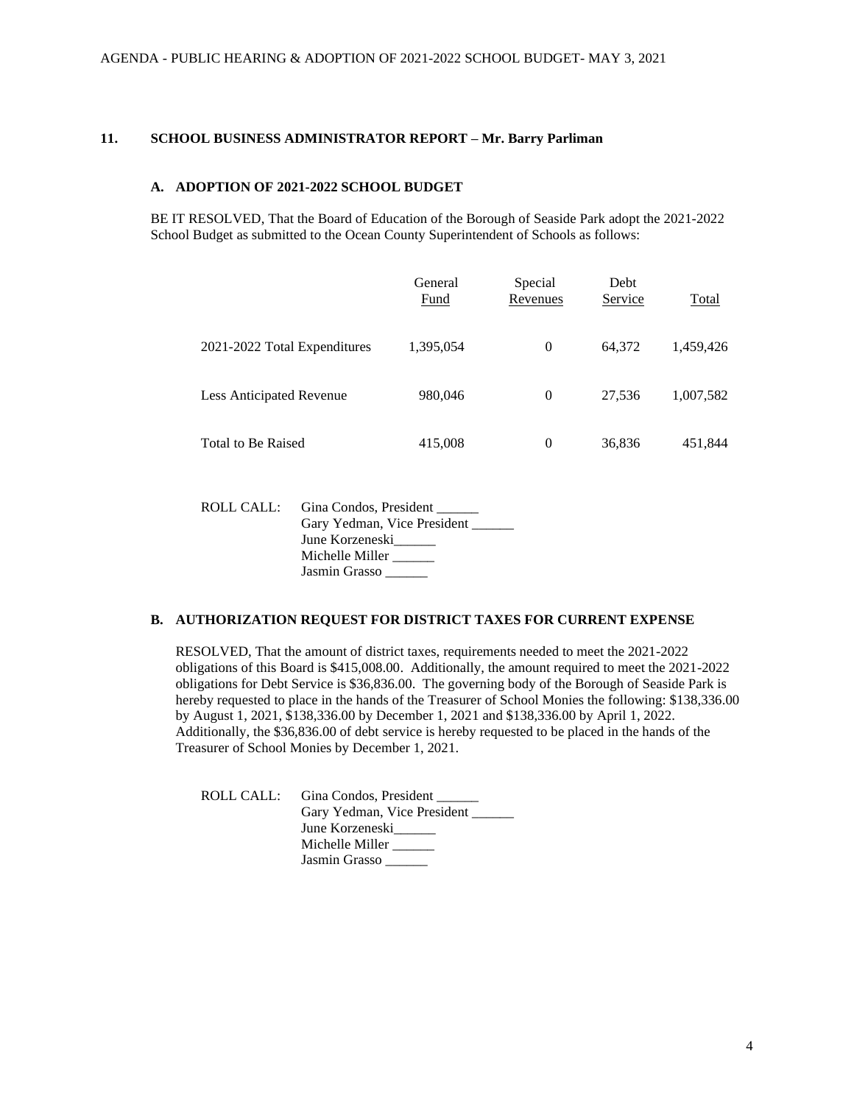# **11. SCHOOL BUSINESS ADMINISTRATOR REPORT – Mr. Barry Parliman**

# **A. ADOPTION OF 2021-2022 SCHOOL BUDGET**

BE IT RESOLVED, That the Board of Education of the Borough of Seaside Park adopt the 2021-2022 School Budget as submitted to the Ocean County Superintendent of Schools as follows:

|                              | General<br>Fund | Special<br>Revenues | Debt<br>Service | Total     |
|------------------------------|-----------------|---------------------|-----------------|-----------|
| 2021-2022 Total Expenditures | 1,395,054       | $\Omega$            | 64.372          | 1,459,426 |
| Less Anticipated Revenue     | 980,046         | $\theta$            | 27.536          | 1,007,582 |
| Total to Be Raised           | 415,008         | 0                   | 36,836          | 451,844   |

| ROLL CALL: | Gina Condos, President      |
|------------|-----------------------------|
|            | Gary Yedman, Vice President |
|            | June Korzeneski             |
|            | Michelle Miller             |
|            | Jasmin Grasso               |

#### **B. AUTHORIZATION REQUEST FOR DISTRICT TAXES FOR CURRENT EXPENSE**

RESOLVED, That the amount of district taxes, requirements needed to meet the 2021-2022 obligations of this Board is \$415,008.00. Additionally, the amount required to meet the 2021-2022 obligations for Debt Service is \$36,836.00. The governing body of the Borough of Seaside Park is hereby requested to place in the hands of the Treasurer of School Monies the following: \$138,336.00 by August 1, 2021, \$138,336.00 by December 1, 2021 and \$138,336.00 by April 1, 2022. Additionally, the \$36,836.00 of debt service is hereby requested to be placed in the hands of the Treasurer of School Monies by December 1, 2021.

ROLL CALL: Gina Condos, President \_\_\_\_\_\_ Gary Yedman, Vice President June Korzeneski\_\_\_\_\_\_ Michelle Miller \_\_\_\_\_ Jasmin Grasso \_\_\_\_\_\_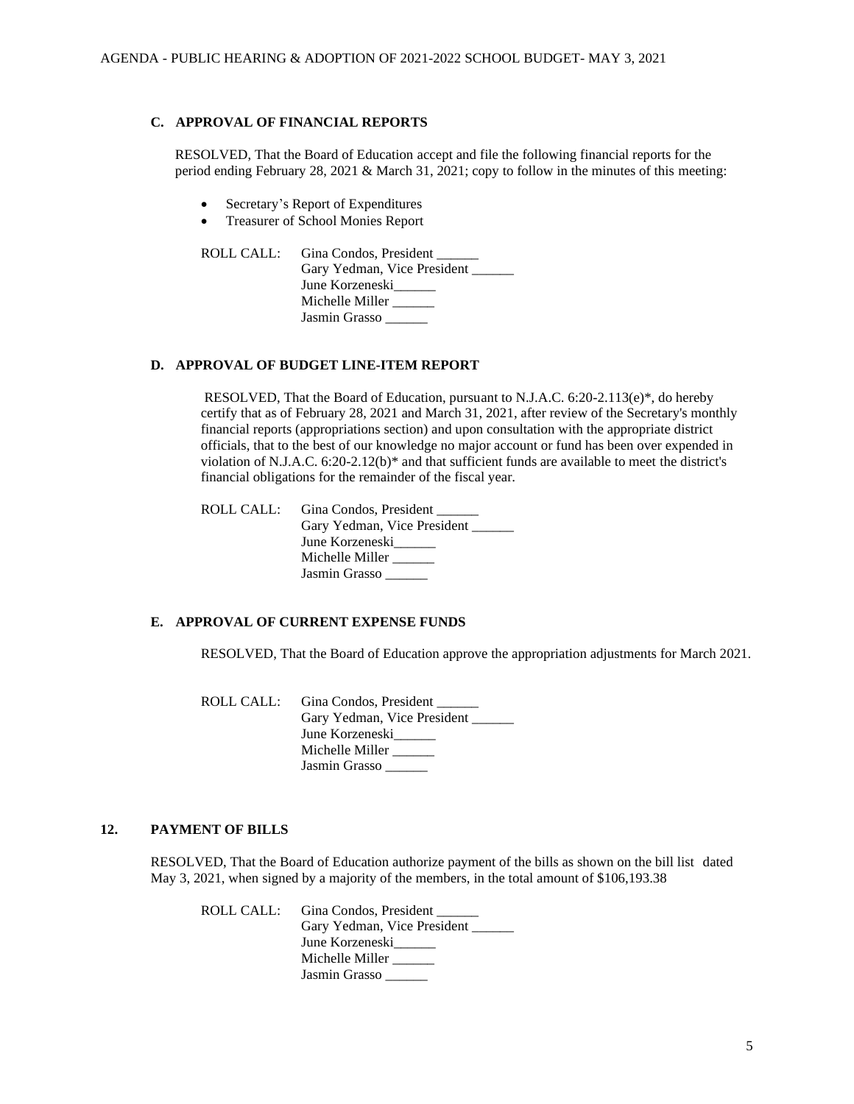# **C. APPROVAL OF FINANCIAL REPORTS**

RESOLVED, That the Board of Education accept and file the following financial reports for the period ending February 28, 2021 & March 31, 2021; copy to follow in the minutes of this meeting:

- Secretary's Report of Expenditures
- Treasurer of School Monies Report

| ROLL CALL: Gina Condos, President |
|-----------------------------------|
| Gary Yedman, Vice President       |
| June Korzeneski                   |
| Michelle Miller                   |
| Jasmin Grasso                     |

#### **D. APPROVAL OF BUDGET LINE-ITEM REPORT**

RESOLVED, That the Board of Education, pursuant to N.J.A.C. 6:20-2.113(e)\*, do hereby certify that as of February 28, 2021 and March 31, 2021, after review of the Secretary's monthly financial reports (appropriations section) and upon consultation with the appropriate district officials, that to the best of our knowledge no major account or fund has been over expended in violation of N.J.A.C. 6:20-2.12(b)\* and that sufficient funds are available to meet the district's financial obligations for the remainder of the fiscal year.

| ROLL CALL: Gina Condos, President |
|-----------------------------------|
| Gary Yedman, Vice President       |
| June Korzeneski                   |
| Michelle Miller                   |
| Jasmin Grasso                     |

### **E. APPROVAL OF CURRENT EXPENSE FUNDS**

RESOLVED, That the Board of Education approve the appropriation adjustments for March 2021.

ROLL CALL: Gina Condos, President Gary Yedman, Vice President June Korzeneski Michelle Miller \_\_\_\_\_ Jasmin Grasso

# **12. PAYMENT OF BILLS**

RESOLVED, That the Board of Education authorize payment of the bills as shown on the bill list dated May 3, 2021, when signed by a majority of the members, in the total amount of \$106,193.38

ROLL CALL: Gina Condos, President Gary Yedman, Vice President June Korzeneski Michelle Miller \_\_\_\_\_ Jasmin Grasso \_\_\_\_\_\_